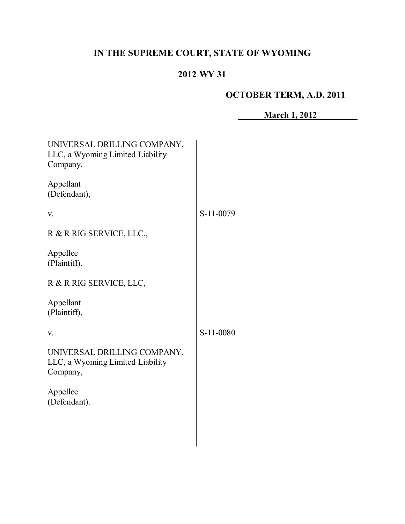# **IN THE SUPREME COURT, STATE OF WYOMING**

# **2012 WY 31**

# **OCTOBER TERM, A.D. 2011**

**March 1, 2012**

| UNIVERSAL DRILLING COMPANY,<br>LLC, a Wyoming Limited Liability<br>Company, |           |
|-----------------------------------------------------------------------------|-----------|
| Appellant<br>(Defendant),                                                   |           |
| V.                                                                          | S-11-0079 |
| R & R RIG SERVICE, LLC.,                                                    |           |
| Appellee<br>(Plaintiff).                                                    |           |
| R & R RIG SERVICE, LLC,                                                     |           |
| Appellant<br>(Plaintiff),                                                   |           |
| V.                                                                          | S-11-0080 |
| UNIVERSAL DRILLING COMPANY,<br>LLC, a Wyoming Limited Liability<br>Company, |           |
| Appellee<br>(Defendant).                                                    |           |
|                                                                             |           |
|                                                                             |           |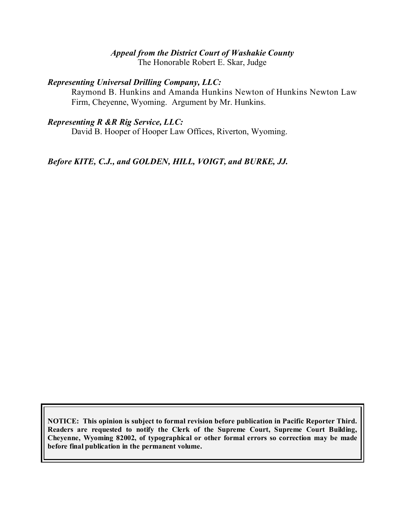#### *Appeal from the District Court of Washakie County*

The Honorable Robert E. Skar, Judge

#### *Representing Universal Drilling Company, LLC:*

Raymond B. Hunkins and Amanda Hunkins Newton of Hunkins Newton Law Firm, Cheyenne, Wyoming. Argument by Mr. Hunkins.

## *Representing R &R Rig Service, LLC:*

David B. Hooper of Hooper Law Offices, Riverton, Wyoming.

*Before KITE, C.J., and GOLDEN, HILL, VOIGT, and BURKE, JJ.*

**NOTICE: This opinion is subject to formal revision before publication in Pacific Reporter Third. Readers are requested to notify the Clerk of the Supreme Court, Supreme Court Building, Cheyenne, Wyoming 82002, of typographical or other formal errors so correction may be made before final publication in the permanent volume.**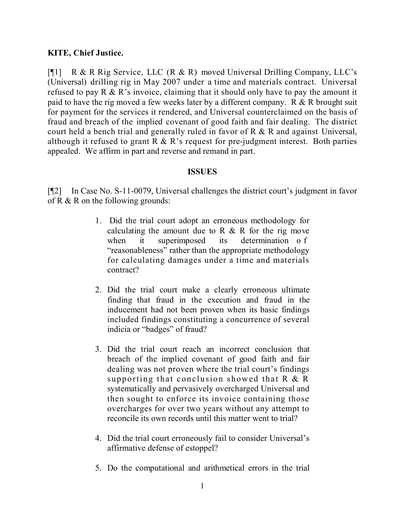## **KITE, Chief Justice.**

[¶1] R & R Rig Service, LLC (R & R) moved Universal Drilling Company, LLC's (Universal) drilling rig in May 2007 under a time and materials contract. Universal refused to pay R & R's invoice, claiming that it should only have to pay the amount it paid to have the rig moved a few weeks later by a different company. R & R brought suit for payment for the services it rendered, and Universal counterclaimed on the basis of fraud and breach of the implied covenant of good faith and fair dealing. The district court held a bench trial and generally ruled in favor of R & R and against Universal, although it refused to grant  $R \& R$ 's request for pre-judgment interest. Both parties appealed. We affirm in part and reverse and remand in part.

## **ISSUES**

[¶2] In Case No. S-11-0079, Universal challenges the district court's judgment in favor of R  $&$  R on the following grounds:

- 1. Did the trial court adopt an erroneous methodology for calculating the amount due to R  $\&$  R for the rig move when it superimposed its determination of "reasonableness" rather than the appropriate methodology for calculating damages under a time and materials contract?
- 2. Did the trial court make a clearly erroneous ultimate finding that fraud in the execution and fraud in the inducement had not been proven when its basic findings included findings constituting a concurrence of several indicia or "badges" of fraud?
- 3. Did the trial court reach an incorrect conclusion that breach of the implied covenant of good faith and fair dealing was not proven where the trial court's findings supporting that conclusion showed that R & R systematically and pervasively overcharged Universal and then sought to enforce its invoice containing those overcharges for over two years without any attempt to reconcile its own records until this matter went to trial?
- 4. Did the trial court erroneously fail to consider Universal's affirmative defense of estoppel?
- 5. Do the computational and arithmetical errors in the trial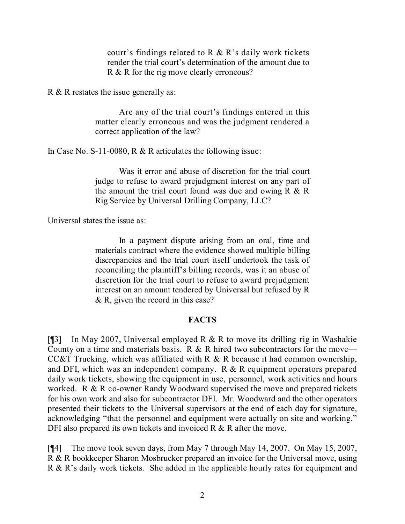court's findings related to R  $\&$  R's daily work tickets render the trial court's determination of the amount due to R & R for the rig move clearly erroneous?

R & R restates the issue generally as:

Are any of the trial court's findings entered in this matter clearly erroneous and was the judgment rendered a correct application of the law?

In Case No. S-11-0080, R & R articulates the following issue:

Was it error and abuse of discretion for the trial court judge to refuse to award prejudgment interest on any part of the amount the trial court found was due and owing  $R \& R$ Rig Service by Universal Drilling Company, LLC?

Universal states the issue as:

In a payment dispute arising from an oral, time and materials contract where the evidence showed multiple billing discrepancies and the trial court itself undertook the task of reconciling the plaintiff's billing records, was it an abuse of discretion for the trial court to refuse to award prejudgment interest on an amount tendered by Universal but refused by R & R, given the record in this case?

#### **FACTS**

[¶3] In May 2007, Universal employed R  $\&$  R to move its drilling rig in Washakie County on a time and materials basis. R  $\&$  R hired two subcontractors for the move— CC&T Trucking, which was affiliated with R & R because it had common ownership, and DFI, which was an independent company. R & R equipment operators prepared daily work tickets, showing the equipment in use, personnel, work activities and hours worked. R & R co-owner Randy Woodward supervised the move and prepared tickets for his own work and also for subcontractor DFI. Mr. Woodward and the other operators presented their tickets to the Universal supervisors at the end of each day for signature, acknowledging "that the personnel and equipment were actually on site and working." DFI also prepared its own tickets and invoiced R & R after the move.

[¶4] The move took seven days, from May 7 through May 14, 2007. On May 15, 2007, R & R bookkeeper Sharon Mosbrucker prepared an invoice for the Universal move, using R & R's daily work tickets. She added in the applicable hourly rates for equipment and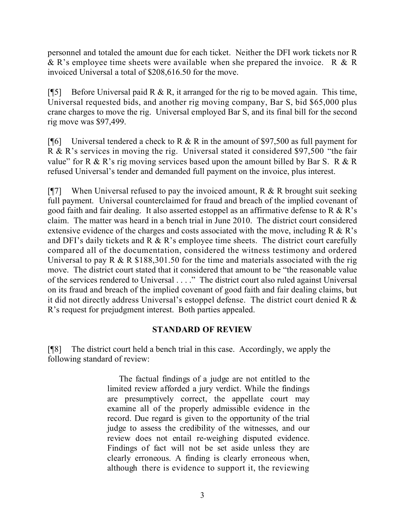personnel and totaled the amount due for each ticket. Neither the DFI work tickets nor R & R's employee time sheets were available when she prepared the invoice. R & R invoiced Universal a total of \$208,616.50 for the move.

[ $[$ [5] Before Universal paid R & R, it arranged for the rig to be moved again. This time, Universal requested bids, and another rig moving company, Bar S, bid \$65,000 plus crane charges to move the rig. Universal employed Bar S, and its final bill for the second rig move was \$97,499.

[ $[$ [6] Universal tendered a check to R & R in the amount of \$97,500 as full payment for R & R's services in moving the rig. Universal stated it considered \$97,500 "the fair value" for R & R's rig moving services based upon the amount billed by Bar S. R & R refused Universal's tender and demanded full payment on the invoice, plus interest.

[ $[$ ] When Universal refused to pay the invoiced amount, R & R brought suit seeking full payment. Universal counterclaimed for fraud and breach of the implied covenant of good faith and fair dealing. It also asserted estoppel as an affirmative defense to R  $\&$  R's claim. The matter was heard in a bench trial in June 2010. The district court considered extensive evidence of the charges and costs associated with the move, including R & R's and DFI's daily tickets and R  $\&$  R's employee time sheets. The district court carefully compared all of the documentation, considered the witness testimony and ordered Universal to pay R  $\&$  R \$188,301.50 for the time and materials associated with the rig move. The district court stated that it considered that amount to be "the reasonable value of the services rendered to Universal . . . ." The district court also ruled against Universal on its fraud and breach of the implied covenant of good faith and fair dealing claims, but it did not directly address Universal's estoppel defense. The district court denied R & R's request for prejudgment interest. Both parties appealed.

## **STANDARD OF REVIEW**

[¶8] The district court held a bench trial in this case. Accordingly, we apply the following standard of review:

> The factual findings of a judge are not entitled to the limited review afforded a jury verdict. While the findings are presumptively correct, the appellate court may examine all of the properly admissible evidence in the record. Due regard is given to the opportunity of the trial judge to assess the credibility of the witnesses, and our review does not entail re-weighing disputed evidence. Findings of fact will not be set aside unless they are clearly erroneous. A finding is clearly erroneous when, although there is evidence to support it, the reviewing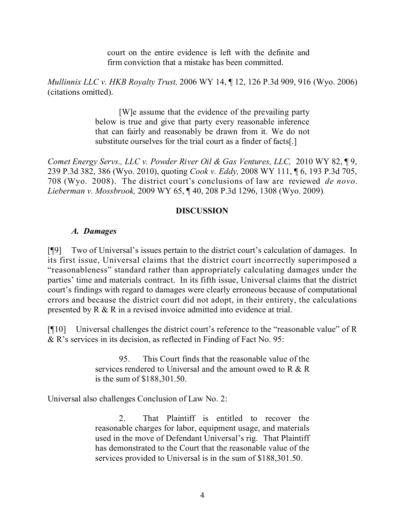court on the entire evidence is left with the definite and firm conviction that a mistake has been committed.

*Mullinnix LLC v. HKB Royalty Trust,* 2006 WY 14, ¶ 12, 126 P.3d 909, 916 (Wyo. 2006) (citations omitted).

> [W]e assume that the evidence of the prevailing party below is true and give that party every reasonable inference that can fairly and reasonably be drawn from it. We do not substitute ourselves for the trial court as a finder of facts[.]

*Comet Energy Servs., LLC v. Powder River Oil & Gas Ventures, LLC,* 2010 WY 82, ¶ 9, 239 P.3d 382, 386 (Wyo. 2010), quoting *Cook v. Eddy,* 2008 WY 111, ¶ 6, 193 P.3d 705, 708 (Wyo. 2008). The district court's conclusions of law are reviewed *de novo*. *Lieberman v. Mossbrook,* 2009 WY 65, ¶ 40, 208 P.3d 1296, 1308 (Wyo. 2009).

## **DISCUSSION**

## *A. Damages*

[¶9] Two of Universal's issues pertain to the district court's calculation of damages. In its first issue, Universal claims that the district court incorrectly superimposed a "reasonableness" standard rather than appropriately calculating damages under the parties' time and materials contract. In its fifth issue, Universal claims that the district court's findings with regard to damages were clearly erroneous because of computational errors and because the district court did not adopt, in their entirety, the calculations presented by R & R in a revised invoice admitted into evidence at trial.

[¶10] Universal challenges the district court's reference to the "reasonable value" of R & R's services in its decision, as reflected in Finding of Fact No. 95:

> 95. This Court finds that the reasonable value of the services rendered to Universal and the amount owed to R  $\&$  R is the sum of \$188,301.50.

Universal also challenges Conclusion of Law No. 2:

2. That Plaintiff is entitled to recover the reasonable charges for labor, equipment usage, and materials used in the move of Defendant Universal's rig. That Plaintiff has demonstrated to the Court that the reasonable value of the services provided to Universal is in the sum of \$188,301.50.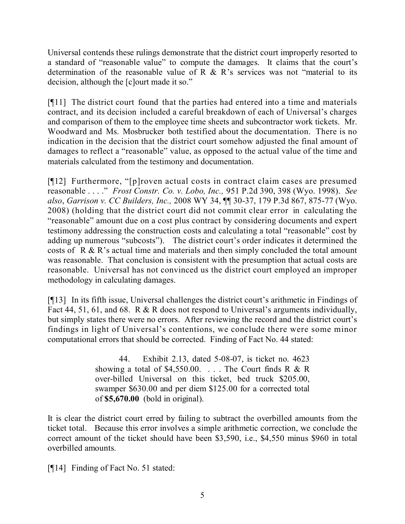Universal contends these rulings demonstrate that the district court improperly resorted to a standard of "reasonable value" to compute the damages. It claims that the court's determination of the reasonable value of R  $\&$  R's services was not "material to its decision, although the [c]ourt made it so."

[¶11] The district court found that the parties had entered into a time and materials contract, and its decision included a careful breakdown of each of Universal's charges and comparison of them to the employee time sheets and subcontractor work tickets. Mr. Woodward and Ms. Mosbrucker both testified about the documentation. There is no indication in the decision that the district court somehow adjusted the final amount of damages to reflect a "reasonable" value, as opposed to the actual value of the time and materials calculated from the testimony and documentation.

[¶12] Furthermore, "[p]roven actual costs in contract claim cases are presumed reasonable . . . ." *Frost Constr. Co. v. Lobo, Inc.,* 951 P.2d 390, 398 (Wyo. 1998). *See also*, *Garrison v. CC Builders, Inc.,* 2008 WY 34, ¶¶ 30-37, 179 P.3d 867, 875-77 (Wyo. 2008) (holding that the district court did not commit clear error in calculating the "reasonable" amount due on a cost plus contract by considering documents and expert testimony addressing the construction costs and calculating a total "reasonable" cost by adding up numerous "subcosts"). The district court's order indicates it determined the costs of R & R's actual time and materials and then simply concluded the total amount was reasonable. That conclusion is consistent with the presumption that actual costs are reasonable. Universal has not convinced us the district court employed an improper methodology in calculating damages.

[¶13] In its fifth issue, Universal challenges the district court's arithmetic in Findings of Fact 44, 51, 61, and 68. R & R does not respond to Universal's arguments individually, but simply states there were no errors. After reviewing the record and the district court's findings in light of Universal's contentions, we conclude there were some minor computational errors that should be corrected. Finding of Fact No. 44 stated:

> 44. Exhibit 2.13, dated 5-08-07, is ticket no. 4623 showing a total of \$4,550.00. . . . The Court finds R & R over-billed Universal on this ticket, bed truck \$205.00, swamper \$630.00 and per diem \$125.00 for a corrected total of **\$5,670.00** (bold in original).

It is clear the district court erred by failing to subtract the overbilled amounts from the ticket total. Because this error involves a simple arithmetic correction, we conclude the correct amount of the ticket should have been \$3,590, i.e., \$4,550 minus \$960 in total overbilled amounts.

[¶14] Finding of Fact No. 51 stated: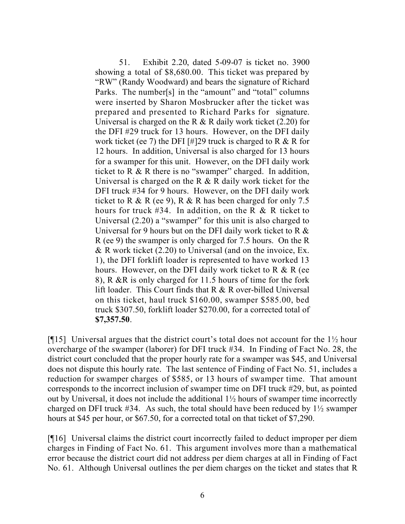51. Exhibit 2.20, dated 5-09-07 is ticket no. 3900 showing a total of \$8,680.00. This ticket was prepared by "RW" (Randy Woodward) and bears the signature of Richard Parks. The number[s] in the "amount" and "total" columns were inserted by Sharon Mosbrucker after the ticket was prepared and presented to Richard Parks for signature. Universal is charged on the R  $\&$  R daily work ticket (2.20) for the DFI #29 truck for 13 hours. However, on the DFI daily work ticket (ee 7) the DFI [#]29 truck is charged to R  $\&$  R for 12 hours. In addition, Universal is also charged for 13 hours for a swamper for this unit. However, on the DFI daily work ticket to  $R \& R$  there is no "swamper" charged. In addition, Universal is charged on the R  $\&$  R daily work ticket for the DFI truck #34 for 9 hours. However, on the DFI daily work ticket to R & R (ee 9), R & R has been charged for only 7.5 hours for truck #34. In addition, on the R  $\&$  R ticket to Universal (2.20) a "swamper" for this unit is also charged to Universal for 9 hours but on the DFI daily work ticket to R  $\&$ R (ee 9) the swamper is only charged for 7.5 hours. On the R  $\&$  R work ticket (2.20) to Universal (and on the invoice, Ex. 1), the DFI forklift loader is represented to have worked 13 hours. However, on the DFI daily work ticket to R  $&$  R (ee 8), R &R is only charged for 11.5 hours of time for the fork lift loader. This Court finds that R & R over-billed Universal on this ticket, haul truck \$160.00, swamper \$585.00, bed truck \$307.50, forklift loader \$270.00, for a corrected total of **\$7,357.50**.

[¶15] Universal argues that the district court's total does not account for the  $1\frac{1}{2}$  hour overcharge of the swamper (laborer) for DFI truck #34. In Finding of Fact No. 28, the district court concluded that the proper hourly rate for a swamper was \$45, and Universal does not dispute this hourly rate. The last sentence of Finding of Fact No. 51, includes a reduction for swamper charges of \$585, or 13 hours of swamper time. That amount corresponds to the incorrect inclusion of swamper time on DFI truck #29, but, as pointed out by Universal, it does not include the additional 1½ hours of swamper time incorrectly charged on DFI truck #34. As such, the total should have been reduced by 1½ swamper hours at \$45 per hour, or \$67.50, for a corrected total on that ticket of \$7,290.

[¶16] Universal claims the district court incorrectly failed to deduct improper per diem charges in Finding of Fact No. 61. This argument involves more than a mathematical error because the district court did not address per diem charges at all in Finding of Fact No. 61. Although Universal outlines the per diem charges on the ticket and states that R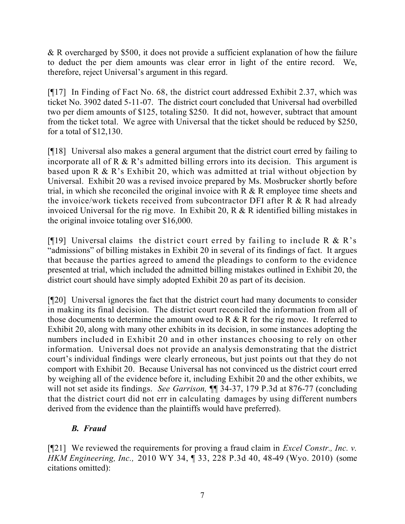& R overcharged by \$500, it does not provide a sufficient explanation of how the failure to deduct the per diem amounts was clear error in light of the entire record. We, therefore, reject Universal's argument in this regard.

[¶17] In Finding of Fact No. 68, the district court addressed Exhibit 2.37, which was ticket No. 3902 dated 5-11-07. The district court concluded that Universal had overbilled two per diem amounts of \$125, totaling \$250. It did not, however, subtract that amount from the ticket total. We agree with Universal that the ticket should be reduced by \$250, for a total of \$12,130.

[¶18] Universal also makes a general argument that the district court erred by failing to incorporate all of R & R's admitted billing errors into its decision. This argument is based upon R & R's Exhibit 20, which was admitted at trial without objection by Universal. Exhibit 20 was a revised invoice prepared by Ms. Mosbrucker shortly before trial, in which she reconciled the original invoice with R & R employee time sheets and the invoice/work tickets received from subcontractor DFI after R & R had already invoiced Universal for the rig move. In Exhibit 20, R & R identified billing mistakes in the original invoice totaling over \$16,000.

[ $[$ [19] Universal claims the district court erred by failing to include R & R's "admissions" of billing mistakes in Exhibit 20 in several of its findings of fact. It argues that because the parties agreed to amend the pleadings to conform to the evidence presented at trial, which included the admitted billing mistakes outlined in Exhibit 20, the district court should have simply adopted Exhibit 20 as part of its decision.

[¶20] Universal ignores the fact that the district court had many documents to consider in making its final decision. The district court reconciled the information from all of those documents to determine the amount owed to R & R for the rig move. It referred to Exhibit 20, along with many other exhibits in its decision, in some instances adopting the numbers included in Exhibit 20 and in other instances choosing to rely on other information. Universal does not provide an analysis demonstrating that the district court's individual findings were clearly erroneous, but just points out that they do not comport with Exhibit 20. Because Universal has not convinced us the district court erred by weighing all of the evidence before it, including Exhibit 20 and the other exhibits, we will not set aside its findings. *See Garrison,* ¶¶ 34-37, 179 P.3d at 876-77 (concluding that the district court did not err in calculating damages by using different numbers derived from the evidence than the plaintiffs would have preferred).

# *B. Fraud*

[¶21] We reviewed the requirements for proving a fraud claim in *Excel Constr., Inc. v. HKM Engineering, Inc.,* 2010 WY 34, ¶ 33, 228 P.3d 40, 48-49 (Wyo. 2010) (some citations omitted):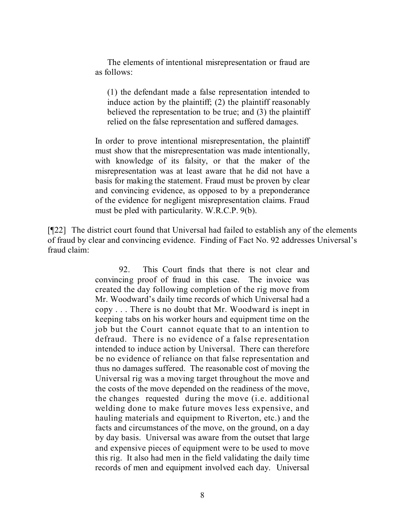The elements of intentional misrepresentation or fraud are as follows:

(1) the defendant made a false representation intended to induce action by the plaintiff; (2) the plaintiff reasonably believed the representation to be true; and (3) the plaintiff relied on the false representation and suffered damages.

In order to prove intentional misrepresentation, the plaintiff must show that the misrepresentation was made intentionally, with knowledge of its falsity, or that the maker of the misrepresentation was at least aware that he did not have a basis for making the statement. Fraud must be proven by clear and convincing evidence, as opposed to by a preponderance of the evidence for negligent misrepresentation claims. Fraud must be pled with particularity. W.R.C.P. 9(b).

[¶22] The district court found that Universal had failed to establish any of the elements of fraud by clear and convincing evidence. Finding of Fact No. 92 addresses Universal's fraud claim:

> 92. This Court finds that there is not clear and convincing proof of fraud in this case. The invoice was created the day following completion of the rig move from Mr. Woodward's daily time records of which Universal had a copy . . . There is no doubt that Mr. Woodward is inept in keeping tabs on his worker hours and equipment time on the job but the Court cannot equate that to an intention to defraud. There is no evidence of a false representation intended to induce action by Universal. There can therefore be no evidence of reliance on that false representation and thus no damages suffered. The reasonable cost of moving the Universal rig was a moving target throughout the move and the costs of the move depended on the readiness of the move, the changes requested during the move (i.e. additional welding done to make future moves less expensive, and hauling materials and equipment to Riverton, etc.) and the facts and circumstances of the move, on the ground, on a day by day basis. Universal was aware from the outset that large and expensive pieces of equipment were to be used to move this rig. It also had men in the field validating the daily time records of men and equipment involved each day. Universal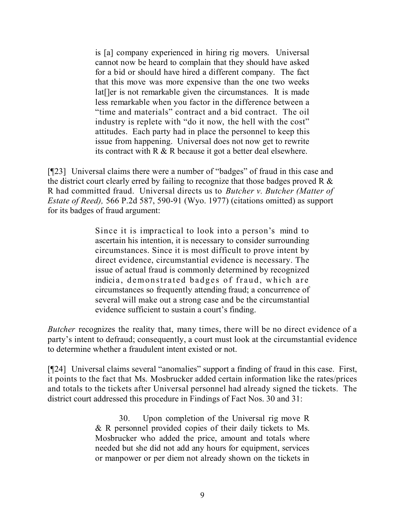is [a] company experienced in hiring rig movers. Universal cannot now be heard to complain that they should have asked for a bid or should have hired a different company. The fact that this move was more expensive than the one two weeks lat[]er is not remarkable given the circumstances. It is made less remarkable when you factor in the difference between a "time and materials" contract and a bid contract. The oil industry is replete with "do it now, the hell with the cost" attitudes. Each party had in place the personnel to keep this issue from happening. Universal does not now get to rewrite its contract with R & R because it got a better deal elsewhere.

[¶23] Universal claims there were a number of "badges" of fraud in this case and the district court clearly erred by failing to recognize that those badges proved R & R had committed fraud. Universal directs us to *Butcher v. Butcher (Matter of Estate of Reed),* 566 P.2d 587, 590-91 (Wyo. 1977) (citations omitted) as support for its badges of fraud argument:

> Since it is impractical to look into a person's mind to ascertain his intention, it is necessary to consider surrounding circumstances. Since it is most difficult to prove intent by direct evidence, circumstantial evidence is necessary. The issue of actual fraud is commonly determined by recognized indicia, demonstrated badges of fraud, which are circumstances so frequently attending fraud; a concurrence of several will make out a strong case and be the circumstantial evidence sufficient to sustain a court's finding.

*Butcher* recognizes the reality that, many times, there will be no direct evidence of a party's intent to defraud; consequently, a court must look at the circumstantial evidence to determine whether a fraudulent intent existed or not.

[¶24] Universal claims several "anomalies" support a finding of fraud in this case. First, it points to the fact that Ms. Mosbrucker added certain information like the rates/prices and totals to the tickets after Universal personnel had already signed the tickets. The district court addressed this procedure in Findings of Fact Nos. 30 and 31:

> 30. Upon completion of the Universal rig move R & R personnel provided copies of their daily tickets to Ms. Mosbrucker who added the price, amount and totals where needed but she did not add any hours for equipment, services or manpower or per diem not already shown on the tickets in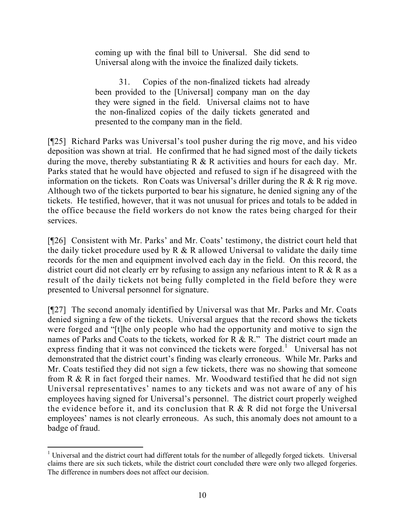coming up with the final bill to Universal. She did send to Universal along with the invoice the finalized daily tickets.

31. Copies of the non-finalized tickets had already been provided to the [Universal] company man on the day they were signed in the field. Universal claims not to have the non-finalized copies of the daily tickets generated and presented to the company man in the field.

[¶25] Richard Parks was Universal's tool pusher during the rig move, and his video deposition was shown at trial. He confirmed that he had signed most of the daily tickets during the move, thereby substantiating  $R \& R$  activities and hours for each day. Mr. Parks stated that he would have objected and refused to sign if he disagreed with the information on the tickets. Ron Coats was Universal's driller during the R & R rig move. Although two of the tickets purported to bear his signature, he denied signing any of the tickets. He testified, however, that it was not unusual for prices and totals to be added in the office because the field workers do not know the rates being charged for their services.

[¶26] Consistent with Mr. Parks' and Mr. Coats' testimony, the district court held that the daily ticket procedure used by R & R allowed Universal to validate the daily time records for the men and equipment involved each day in the field. On this record, the district court did not clearly err by refusing to assign any nefarious intent to R & R as a result of the daily tickets not being fully completed in the field before they were presented to Universal personnel for signature.

[¶27] The second anomaly identified by Universal was that Mr. Parks and Mr. Coats denied signing a few of the tickets. Universal argues that the record shows the tickets were forged and "[t]he only people who had the opportunity and motive to sign the names of Parks and Coats to the tickets, worked for R & R." The district court made an express finding that it was not convinced the tickets were forged.<sup>1</sup> Universal has not demonstrated that the district court's finding was clearly erroneous. While Mr. Parks and Mr. Coats testified they did not sign a few tickets, there was no showing that someone from R & R in fact forged their names. Mr. Woodward testified that he did not sign Universal representatives' names to any tickets and was not aware of any of his employees having signed for Universal's personnel. The district court properly weighed the evidence before it, and its conclusion that  $R \& R$  did not forge the Universal employees' names is not clearly erroneous. As such, this anomaly does not amount to a badge of fraud.

 <sup>1</sup> Universal and the district court had different totals for the number of allegedly forged tickets. Universal claims there are six such tickets, while the district court concluded there were only two alleged forgeries. The difference in numbers does not affect our decision.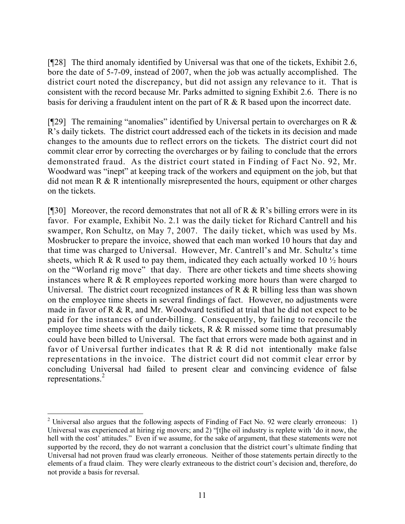[¶28] The third anomaly identified by Universal was that one of the tickets, Exhibit 2.6, bore the date of 5-7-09, instead of 2007, when the job was actually accomplished. The district court noted the discrepancy, but did not assign any relevance to it. That is consistent with the record because Mr. Parks admitted to signing Exhibit 2.6. There is no basis for deriving a fraudulent intent on the part of R & R based upon the incorrect date.

[ $[$ [29] The remaining "anomalies" identified by Universal pertain to overcharges on R  $\&$ R's daily tickets. The district court addressed each of the tickets in its decision and made changes to the amounts due to reflect errors on the tickets. The district court did not commit clear error by correcting the overcharges or by failing to conclude that the errors demonstrated fraud. As the district court stated in Finding of Fact No. 92, Mr. Woodward was "inept" at keeping track of the workers and equipment on the job, but that did not mean R & R intentionally misrepresented the hours, equipment or other charges on the tickets.

[ $[$ ][30] Moreover, the record demonstrates that not all of R & R's billing errors were in its favor. For example, Exhibit No. 2.1 was the daily ticket for Richard Cantrell and his swamper, Ron Schultz, on May 7, 2007. The daily ticket, which was used by Ms. Mosbrucker to prepare the invoice, showed that each man worked 10 hours that day and that time was charged to Universal. However, Mr. Cantrell's and Mr. Schultz's time sheets, which R & R used to pay them, indicated they each actually worked 10  $\frac{1}{2}$  hours on the "Worland rig move" that day. There are other tickets and time sheets showing instances where R & R employees reported working more hours than were charged to Universal. The district court recognized instances of  $R \& R$  billing less than was shown on the employee time sheets in several findings of fact. However, no adjustments were made in favor of R & R, and Mr. Woodward testified at trial that he did not expect to be paid for the instances of under-billing. Consequently, by failing to reconcile the employee time sheets with the daily tickets,  $R \& R$  missed some time that presumably could have been billed to Universal. The fact that errors were made both against and in favor of Universal further indicates that R & R did not intentionally make false representations in the invoice. The district court did not commit clear error by concluding Universal had failed to present clear and convincing evidence of false representations.<sup>2</sup>

 $\overline{a}$ 

<sup>&</sup>lt;sup>2</sup> Universal also argues that the following aspects of Finding of Fact No. 92 were clearly erroneous: 1) Universal was experienced at hiring rig movers; and 2) "[t]he oil industry is replete with 'do it now, the hell with the cost<sup>3</sup> attitudes." Even if we assume, for the sake of argument, that these statements were not supported by the record, they do not warrant a conclusion that the district court's ultimate finding that Universal had not proven fraud was clearly erroneous. Neither of those statements pertain directly to the elements of a fraud claim. They were clearly extraneous to the district court's decision and, therefore, do not provide a basis for reversal.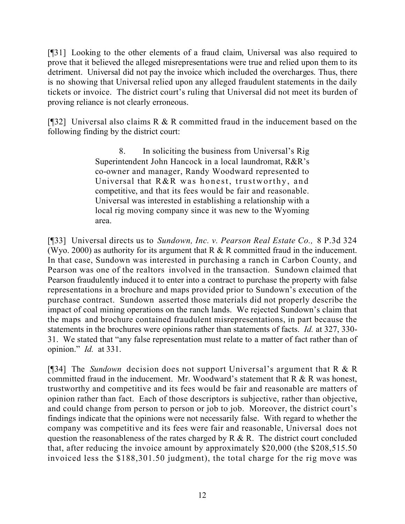[¶31] Looking to the other elements of a fraud claim, Universal was also required to prove that it believed the alleged misrepresentations were true and relied upon them to its detriment. Universal did not pay the invoice which included the overcharges. Thus, there is no showing that Universal relied upon any alleged fraudulent statements in the daily tickets or invoice. The district court's ruling that Universal did not meet its burden of proving reliance is not clearly erroneous.

[¶32] Universal also claims R & R committed fraud in the inducement based on the following finding by the district court:

> 8. In soliciting the business from Universal's Rig Superintendent John Hancock in a local laundromat, R&R's co-owner and manager, Randy Woodward represented to Universal that R&R was honest, trustworthy, and competitive, and that its fees would be fair and reasonable. Universal was interested in establishing a relationship with a local rig moving company since it was new to the Wyoming area.

[¶33] Universal directs us to *Sundown, Inc. v. Pearson Real Estate Co.,* 8 P.3d 324 (Wyo. 2000) as authority for its argument that  $R \& R$  committed fraud in the inducement. In that case, Sundown was interested in purchasing a ranch in Carbon County, and Pearson was one of the realtors involved in the transaction. Sundown claimed that Pearson fraudulently induced it to enter into a contract to purchase the property with false representations in a brochure and maps provided prior to Sundown's execution of the purchase contract. Sundown asserted those materials did not properly describe the impact of coal mining operations on the ranch lands. We rejected Sundown's claim that the maps and brochure contained fraudulent misrepresentations, in part because the statements in the brochures were opinions rather than statements of facts. *Id.* at 327, 330- 31. We stated that "any false representation must relate to a matter of fact rather than of opinion." *Id.* at 331.

[¶34] The *Sundown* decision does not support Universal's argument that R & R committed fraud in the inducement. Mr. Woodward's statement that R & R was honest, trustworthy and competitive and its fees would be fair and reasonable are matters of opinion rather than fact. Each of those descriptors is subjective, rather than objective, and could change from person to person or job to job. Moreover, the district court's findings indicate that the opinions were not necessarily false. With regard to whether the company was competitive and its fees were fair and reasonable, Universal does not question the reasonableness of the rates charged by  $R \& R$ . The district court concluded that, after reducing the invoice amount by approximately \$20,000 (the \$208,515.50 invoiced less the \$188,301.50 judgment), the total charge for the rig move was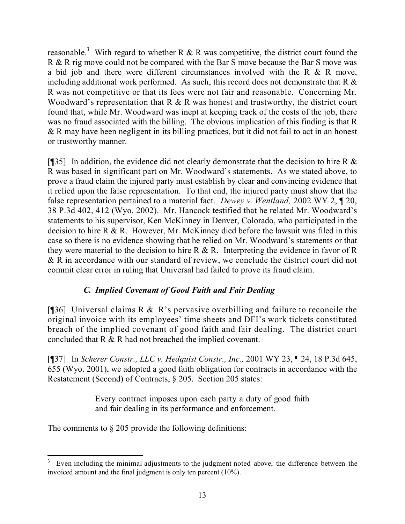reasonable.<sup>3</sup> With regard to whether R & R was competitive, the district court found the R & R rig move could not be compared with the Bar S move because the Bar S move was a bid job and there were different circumstances involved with the R & R move, including additional work performed. As such, this record does not demonstrate that  $R \&$ R was not competitive or that its fees were not fair and reasonable. Concerning Mr. Woodward's representation that R & R was honest and trustworthy, the district court found that, while Mr. Woodward was inept at keeping track of the costs of the job, there was no fraud associated with the billing. The obvious implication of this finding is that R & R may have been negligent in its billing practices, but it did not fail to act in an honest or trustworthy manner.

[ $[$ ][35] In addition, the evidence did not clearly demonstrate that the decision to hire R  $\&$ R was based in significant part on Mr. Woodward's statements. As we stated above, to prove a fraud claim the injured party must establish by clear and convincing evidence that it relied upon the false representation. To that end, the injured party must show that the false representation pertained to a material fact. *Dewey v. Wentland,* 2002 WY 2, ¶ 20, 38 P.3d 402, 412 (Wyo. 2002). Mr. Hancock testified that he related Mr. Woodward's statements to his supervisor, Ken McKinney in Denver, Colorado, who participated in the decision to hire R & R. However, Mr. McKinney died before the lawsuit was filed in this case so there is no evidence showing that he relied on Mr. Woodward's statements or that they were material to the decision to hire  $R \& R$ . Interpreting the evidence in favor of R & R in accordance with our standard of review, we conclude the district court did not commit clear error in ruling that Universal had failed to prove its fraud claim.

# *C. Implied Covenant of Good Faith and Fair Dealing*

[ $[$ ]36] Universal claims R & R's pervasive overbilling and failure to reconcile the original invoice with its employees' time sheets and DFI's work tickets constituted breach of the implied covenant of good faith and fair dealing. The district court concluded that R & R had not breached the implied covenant.

[¶37] In *Scherer Constr., LLC v. Hedquist Constr., Inc.,* 2001 WY 23, ¶ 24, 18 P.3d 645, 655 (Wyo. 2001), we adopted a good faith obligation for contracts in accordance with the Restatement (Second) of Contracts, § 205. Section 205 states:

> Every contract imposes upon each party a duty of good faith and fair dealing in its performance and enforcement.

The comments to  $\S 205$  provide the following definitions:

 $\overline{a}$ Even including the minimal adjustments to the judgment noted above, the difference between the invoiced amount and the final judgment is only ten percent (10%).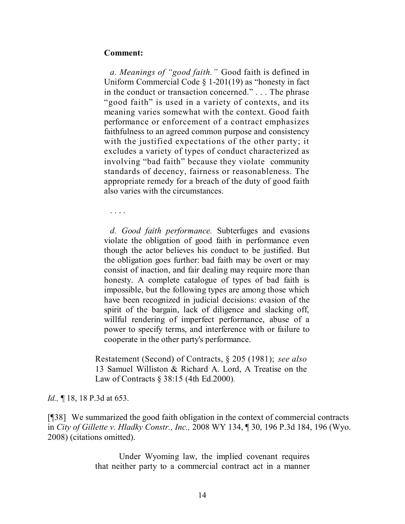#### **Comment:**

*a. Meanings of "good faith."* Good faith is defined in Uniform Commercial Code § 1-201(19) as "honesty in fact in the conduct or transaction concerned." . . . The phrase "good faith" is used in a variety of contexts, and its meaning varies somewhat with the context. Good faith performance or enforcement of a contract emphasizes faithfulness to an agreed common purpose and consistency with the justified expectations of the other party; it excludes a variety of types of conduct characterized as involving "bad faith" because they violate community standards of decency, fairness or reasonableness. The appropriate remedy for a breach of the duty of good faith also varies with the circumstances.

. . . .

*d. Good faith performance.* Subterfuges and evasions violate the obligation of good faith in performance even though the actor believes his conduct to be justified. But the obligation goes further: bad faith may be overt or may consist of inaction, and fair dealing may require more than honesty. A complete catalogue of types of bad faith is impossible, but the following types are among those which have been recognized in judicial decisions: evasion of the spirit of the bargain, lack of diligence and slacking off, willful rendering of imperfect performance, abuse of a power to specify terms, and interference with or failure to cooperate in the other party's performance.

Restatement (Second) of Contracts, § 205 (1981); *see also* 13 Samuel Williston & Richard A. Lord, A Treatise on the Law of Contracts § 38:15 (4th Ed.2000).

#### *Id.*, **[18, 18 P.3d at 653.**

[¶38] We summarized the good faith obligation in the context of commercial contracts in *City of Gillette v. Hladky Constr., Inc.,* 2008 WY 134, ¶ 30, 196 P.3d 184, 196 (Wyo. 2008) (citations omitted).

> Under Wyoming law, the implied covenant requires that neither party to a commercial contract act in a manner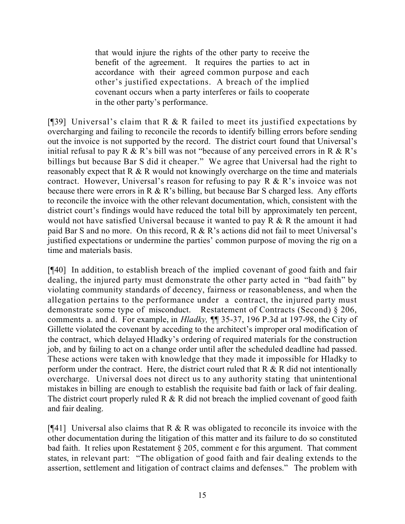that would injure the rights of the other party to receive the benefit of the agreement. It requires the parties to act in accordance with their agreed common purpose and each other's justified expectations. A breach of the implied covenant occurs when a party interferes or fails to cooperate in the other party's performance.

[ $[$ ]39] Universal's claim that R & R failed to meet its justified expectations by overcharging and failing to reconcile the records to identify billing errors before sending out the invoice is not supported by the record. The district court found that Universal's initial refusal to pay R & R's bill was not "because of any perceived errors in R & R's billings but because Bar S did it cheaper." We agree that Universal had the right to reasonably expect that R & R would not knowingly overcharge on the time and materials contract. However, Universal's reason for refusing to pay  $R \& R$ 's invoice was not because there were errors in R  $\&$  R's billing, but because Bar S charged less. Any efforts to reconcile the invoice with the other relevant documentation, which, consistent with the district court's findings would have reduced the total bill by approximately ten percent, would not have satisfied Universal because it wanted to pay R & R the amount it had paid Bar S and no more. On this record, R & R's actions did not fail to meet Universal's justified expectations or undermine the parties' common purpose of moving the rig on a time and materials basis.

[¶40] In addition, to establish breach of the implied covenant of good faith and fair dealing, the injured party must demonstrate the other party acted in "bad faith" by violating community standards of decency, fairness or reasonableness, and when the allegation pertains to the performance under a contract, the injured party must demonstrate some type of misconduct. Restatement of Contracts (Second) § 206, comments a. and d. For example, in *Hladky,* ¶¶ 35-37, 196 P.3d at 197-98, the City of Gillette violated the covenant by acceding to the architect's improper oral modification of the contract, which delayed Hladky's ordering of required materials for the construction job, and by failing to act on a change order until after the scheduled deadline had passed. These actions were taken with knowledge that they made it impossible for Hladky to perform under the contract. Here, the district court ruled that  $R \& R$  did not intentionally overcharge. Universal does not direct us to any authority stating that unintentional mistakes in billing are enough to establish the requisite bad faith or lack of fair dealing. The district court properly ruled  $R \& R$  did not breach the implied covenant of good faith and fair dealing.

[ $[$ 41] Universal also claims that R & R was obligated to reconcile its invoice with the other documentation during the litigation of this matter and its failure to do so constituted bad faith. It relies upon Restatement § 205, comment e for this argument. That comment states, in relevant part: "The obligation of good faith and fair dealing extends to the assertion, settlement and litigation of contract claims and defenses." The problem with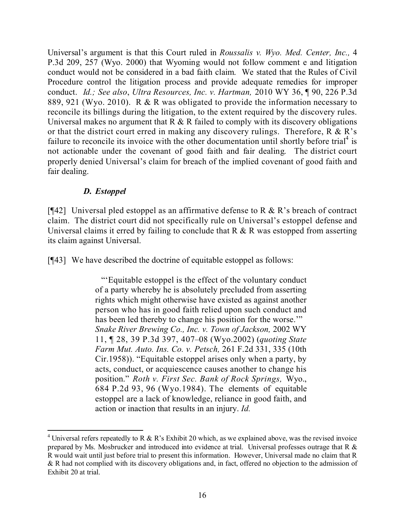Universal's argument is that this Court ruled in *Roussalis v. Wyo. Med. Center, Inc.,* 4 P.3d 209, 257 (Wyo. 2000) that Wyoming would not follow comment e and litigation conduct would not be considered in a bad faith claim. We stated that the Rules of Civil Procedure control the litigation process and provide adequate remedies for improper conduct. *Id.; See also*, *Ultra Resources, Inc. v. Hartman,* 2010 WY 36, ¶ 90, 226 P.3d 889, 921 (Wyo. 2010). R & R was obligated to provide the information necessary to reconcile its billings during the litigation, to the extent required by the discovery rules. Universal makes no argument that  $R \& R$  failed to comply with its discovery obligations or that the district court erred in making any discovery rulings. Therefore,  $R \& R$ 's failure to reconcile its invoice with the other documentation until shortly before trial<sup>4</sup> is not actionable under the covenant of good faith and fair dealing. The district court properly denied Universal's claim for breach of the implied covenant of good faith and fair dealing.

# *D. Estoppel*

[ $[$ 42] Universal pled estoppel as an affirmative defense to R & R's breach of contract claim. The district court did not specifically rule on Universal's estoppel defense and Universal claims it erred by failing to conclude that  $R \& R$  was estopped from asserting its claim against Universal.

[¶43] We have described the doctrine of equitable estoppel as follows:

"'Equitable estoppel is the effect of the voluntary conduct of a party whereby he is absolutely precluded from asserting rights which might otherwise have existed as against another person who has in good faith relied upon such conduct and has been led thereby to change his position for the worse." *Snake River Brewing Co., Inc. v. Town of Jackson,* 2002 WY 11, ¶ 28, 39 P.3d 397, 407–08 (Wyo.2002) (*quoting State Farm Mut. Auto. Ins. Co. v. Petsch,* 261 F.2d 331, 335 (10th Cir.1958)). "Equitable estoppel arises only when a party, by acts, conduct, or acquiescence causes another to change his position." *Roth v. First Sec. Bank of Rock Springs,* Wyo., 684 P.2d 93, 96 (Wyo.1984). The elements of equitable estoppel are a lack of knowledge, reliance in good faith, and action or inaction that results in an injury. *Id.*

 $\overline{a}$ <sup>4</sup> Universal refers repeatedly to R & R's Exhibit 20 which, as we explained above, was the revised invoice prepared by Ms. Mosbrucker and introduced into evidence at trial. Universal professes outrage that R & R would wait until just before trial to present this information. However, Universal made no claim that R & R had not complied with its discovery obligations and, in fact, offered no objection to the admission of Exhibit 20 at trial.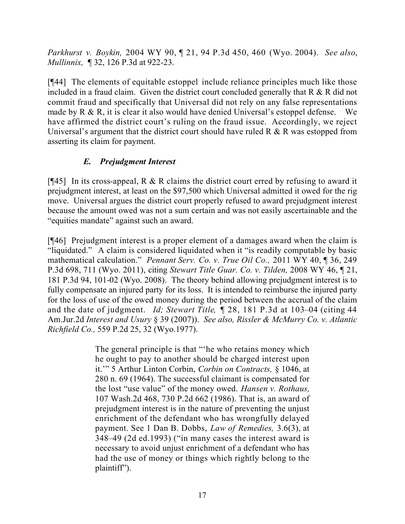*Parkhurst v. Boykin,* 2004 WY 90, ¶ 21, 94 P.3d 450, 460 (Wyo. 2004). *See also*, *Mullinnix,* ¶ 32, 126 P.3d at 922-23.

[¶44] The elements of equitable estoppel include reliance principles much like those included in a fraud claim. Given the district court concluded generally that R & R did not commit fraud and specifically that Universal did not rely on any false representations made by R & R, it is clear it also would have denied Universal's estoppel defense. We have affirmed the district court's ruling on the fraud issue. Accordingly, we reject Universal's argument that the district court should have ruled  $R \& R$  was estopped from asserting its claim for payment.

# *E. Prejudgment Interest*

[ $[$ 45] In its cross-appeal, R & R claims the district court erred by refusing to award it prejudgment interest, at least on the \$97,500 which Universal admitted it owed for the rig move. Universal argues the district court properly refused to award prejudgment interest because the amount owed was not a sum certain and was not easily ascertainable and the "equities mandate" against such an award.

[¶46] Prejudgment interest is a proper element of a damages award when the claim is "liquidated." A claim is considered liquidated when it "is readily computable by basic mathematical calculation." *Pennant Serv. Co. v. True Oil Co.,* 2011 WY 40, ¶ 36, 249 P.3d 698, 711 (Wyo. 2011), citing *Stewart Title Guar. Co. v. Tilden,* 2008 WY 46, ¶ 21, 181 P.3d 94, 101-02 (Wyo. 2008). The theory behind allowing prejudgment interest is to fully compensate an injured party for its loss. It is intended to reimburse the injured party for the loss of use of the owed money during the period between the accrual of the claim and the date of judgment. *Id; Stewart Title,* ¶ 28, 181 P.3d at 103–04 (citing 44 Am.Jur.2d *Interest and Usury* § 39 (2007)). *See also, Rissler & McMurry Co. v. Atlantic Richfield Co.,* 559 P.2d 25, 32 (Wyo.1977).

> The general principle is that "'he who retains money which he ought to pay to another should be charged interest upon it.'" 5 Arthur Linton Corbin, *Corbin on Contracts,* § 1046, at 280 n. 69 (1964). The successful claimant is compensated for the lost "use value" of the money owed. *Hansen v. Rothaus,* 107 Wash.2d 468, 730 P.2d 662 (1986). That is, an award of prejudgment interest is in the nature of preventing the unjust enrichment of the defendant who has wrongfully delayed payment. See 1 Dan B. Dobbs, *Law of Remedies,* 3.6(3), at 348–49 (2d ed.1993) ("in many cases the interest award is necessary to avoid unjust enrichment of a defendant who has had the use of money or things which rightly belong to the plaintiff").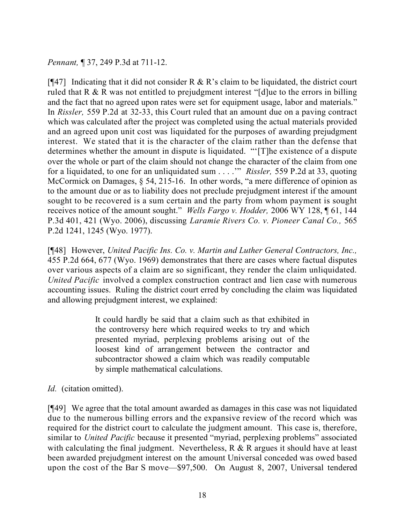*Pennant,* ¶ 37, 249 P.3d at 711-12.

[ $[$ 47] Indicating that it did not consider R & R's claim to be liquidated, the district court ruled that R & R was not entitled to prejudgment interest "[d]ue to the errors in billing and the fact that no agreed upon rates were set for equipment usage, labor and materials." In *Rissler,* 559 P.2d at 32-33, this Court ruled that an amount due on a paving contract which was calculated after the project was completed using the actual materials provided and an agreed upon unit cost was liquidated for the purposes of awarding prejudgment interest. We stated that it is the character of the claim rather than the defense that determines whether the amount in dispute is liquidated. "'[T]he existence of a dispute over the whole or part of the claim should not change the character of the claim from one for a liquidated, to one for an unliquidated sum . . . .'" *Rissler,* 559 P.2d at 33, quoting McCormick on Damages, § 54, 215-16. In other words, "a mere difference of opinion as to the amount due or as to liability does not preclude prejudgment interest if the amount sought to be recovered is a sum certain and the party from whom payment is sought receives notice of the amount sought." *Wells Fargo v. Hodder,* 2006 WY 128, ¶ 61, 144 P.3d 401, 421 (Wyo. 2006), discussing *Laramie Rivers Co. v. Pioneer Canal Co.,* 565 P.2d 1241, 1245 (Wyo. 1977).

[¶48] However, *United Pacific Ins. Co. v. Martin and Luther General Contractors, Inc.,*  455 P.2d 664, 677 (Wyo. 1969) demonstrates that there are cases where factual disputes over various aspects of a claim are so significant, they render the claim unliquidated. *United Pacific* involved a complex construction contract and lien case with numerous accounting issues. Ruling the district court erred by concluding the claim was liquidated and allowing prejudgment interest, we explained:

> It could hardly be said that a claim such as that exhibited in the controversy here which required weeks to try and which presented myriad, perplexing problems arising out of the loosest kind of arrangement between the contractor and subcontractor showed a claim which was readily computable by simple mathematical calculations.

*Id.* (citation omitted).

[¶49] We agree that the total amount awarded as damages in this case was not liquidated due to the numerous billing errors and the expansive review of the record which was required for the district court to calculate the judgment amount. This case is, therefore, similar to *United Pacific* because it presented "myriad, perplexing problems" associated with calculating the final judgment. Nevertheless,  $R \& R$  argues it should have at least been awarded prejudgment interest on the amount Universal conceded was owed based upon the cost of the Bar S move—\$97,500. On August 8, 2007, Universal tendered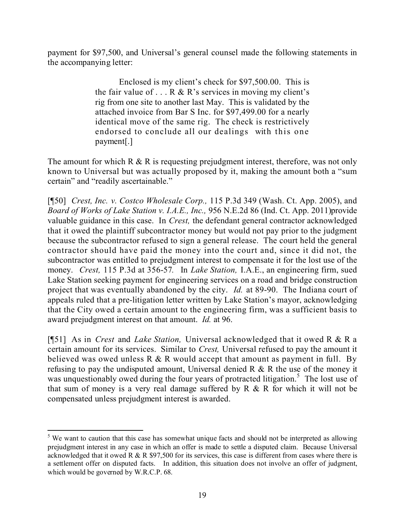payment for \$97,500, and Universal's general counsel made the following statements in the accompanying letter:

> Enclosed is my client's check for \$97,500.00. This is the fair value of  $\ldots$  R & R's services in moving my client's rig from one site to another last May. This is validated by the attached invoice from Bar S Inc. for \$97,499.00 for a nearly identical move of the same rig. The check is restrictively endorsed to conclude all our dealings with this one payment[.]

The amount for which  $R \& R$  is requesting prejudgment interest, therefore, was not only known to Universal but was actually proposed by it, making the amount both a "sum certain" and "readily ascertainable."

[¶50] *Crest, Inc. v. Costco Wholesale Corp.,* 115 P.3d 349 (Wash. Ct. App. 2005), and *Board of Works of Lake Station v. I.A.E., Inc.,* 956 N.E.2d 86 (Ind. Ct. App. 2011)provide valuable guidance in this case. In *Crest,* the defendant general contractor acknowledged that it owed the plaintiff subcontractor money but would not pay prior to the judgment because the subcontractor refused to sign a general release. The court held the general contractor should have paid the money into the court and, since it did not, the subcontractor was entitled to prejudgment interest to compensate it for the lost use of the money. *Crest,* 115 P.3d at 356-57*.* In *Lake Station,* I.A.E., an engineering firm, sued Lake Station seeking payment for engineering services on a road and bridge construction project that was eventually abandoned by the city. *Id.* at 89-90. The Indiana court of appeals ruled that a pre-litigation letter written by Lake Station's mayor, acknowledging that the City owed a certain amount to the engineering firm, was a sufficient basis to award prejudgment interest on that amount. *Id.* at 96.

[¶51] As in *Crest* and *Lake Station,* Universal acknowledged that it owed R & R a certain amount for its services. Similar to *Crest,* Universal refused to pay the amount it believed was owed unless  $R \& R$  would accept that amount as payment in full. By refusing to pay the undisputed amount, Universal denied R & R the use of the money it was unquestionably owed during the four years of protracted litigation.<sup>5</sup> The lost use of that sum of money is a very real damage suffered by R & R for which it will not be compensated unless prejudgment interest is awarded.

 $\overline{a}$ <sup>5</sup> We want to caution that this case has somewhat unique facts and should not be interpreted as allowing prejudgment interest in any case in which an offer is made to settle a disputed claim. Because Universal acknowledged that it owed R & R \$97,500 for its services, this case is different from cases where there is a settlement offer on disputed facts. In addition, this situation does not involve an offer of judgment, which would be governed by W.R.C.P. 68.